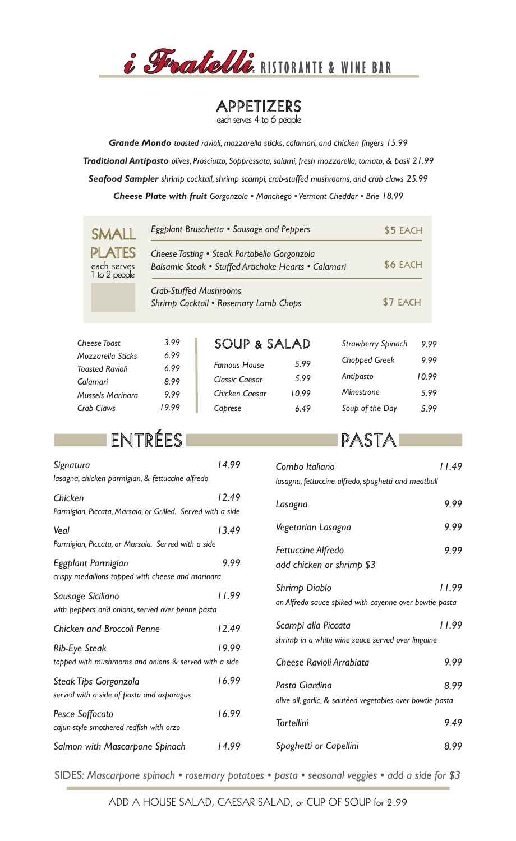

# APPETIZERS<br>each serves 4 to 6 people

*Grande Mondo toasted ravioli, mozzarella sticks, calamari, and chicken fingers 15.99 Traditional Antipasto olives, Prosciutto, Soppressata, salami, fresh mozzarella, tomato, & basil 21.99 Seafood Sampler shrimp cocktail, shrimp scampi, crab-stuffed mushrooms, and crab claws 25.99 Cheese Plate with fruit Gorgonzola • Manchego • Vermont Cheddar • Brie 18.99*

| SMAII                                         | Eggplant Bruschetta • Sausage and Peppers                                                            |                       |       |                           | \$5 EACH |  |
|-----------------------------------------------|------------------------------------------------------------------------------------------------------|-----------------------|-------|---------------------------|----------|--|
| <b>PLATES</b><br>each serves<br>1 to 2 people | Cheese Tasting • Steak Portobello Gorgonzola<br>Balsamic Steak • Stuffed Artichoke Hearts • Calamari | \$6 EACH              |       |                           |          |  |
|                                               | <b>Crab-Stuffed Mushrooms</b><br>Shrimp Cocktail • Rosemary Lamb Chops                               |                       |       |                           | \$7 EACH |  |
| <b>Cheese Toast</b>                           | 3.99                                                                                                 | SOUP & SALAD          |       | <b>Strawberry Spinach</b> | 9.99     |  |
| Mozzarella Sticks                             | 6.99                                                                                                 | <b>Famous House</b>   | 5.99  | Chopped Greek             | 9.99     |  |
| <b>Toasted Ravioli</b><br>Calamari            | 6.99<br>8.99                                                                                         | <b>Classic Caesar</b> | 5.99  | Antipasto                 | 10.99    |  |
| Mussels Marinara                              | 9.99                                                                                                 | Chicken Caesar        | 10.99 | <b>Minestrone</b>         | 5.99     |  |
| Crab Claws                                    | 19.99                                                                                                | Caprese               | 6.49  | Soup of the Day           | 5.99     |  |

## ENTRÉES

| Signatura                                                   | 14.99 |
|-------------------------------------------------------------|-------|
| lasagna, chicken parmigian, & fettuccine alfredo            |       |
| Chicken                                                     | 12.49 |
| Parmigian, Piccata, Marsala, or Grilled. Served with a side |       |
| Veal                                                        | 13.49 |
| Parmigian, Piccata, or Marsala. Served with a side          |       |
| Eggplant Parmigian                                          | 9.99  |
| crispy medallions topped with cheese and marinara           |       |
| Sausage Siciliano                                           | 11.99 |
| with peppers and onions, served over penne pasta            |       |
| <b>Chicken and Broccoli Penne</b>                           | 12.49 |
| <b>Rib-Eye Steak</b>                                        | 19.99 |
| topped with mushrooms and onions & served with a side       |       |
| <b>Steak Tips Gorgonzola</b>                                | 16.99 |
| served with a side of pasta and asparagus                   |       |
| Pesce Soffocato                                             | 16.99 |
| cajun-style smothered redfish with orzo                     |       |
| Salmon with Mascarpone Spinach                              | 14.99 |

#### PASTA

| Combo Italiano                                                              | 11.49 |
|-----------------------------------------------------------------------------|-------|
| lasagna, fettuccine alfredo, spaghetti and meatball                         |       |
| Lasagna                                                                     | 9.99  |
| Vegetarian Lasagna                                                          | 9.99  |
| <b>Fettuccine Alfredo</b><br>add chicken or shrimp \$3                      | 9.99  |
| Shrimp Diablo<br>an Alfredo sauce spiked with cayenne over bowtie pasta     | 11.99 |
| Scampi alla Piccata<br>shrimp in a white wine sauce served over linguine    | 11.99 |
| Cheese Ravioli Arrabiata                                                    | 9.99  |
| Pasta Giardina<br>olive oil, garlic, & sautéed vegetables over bowtie pasta | 8.99  |
| <b>Tortellini</b>                                                           | 9.49  |
| Spaghetti or Capellini                                                      | 8.99  |

SIDES*: Mascarpone spinach • rosemary potatoes • pasta • seasonal veggies • add a side for \$3*